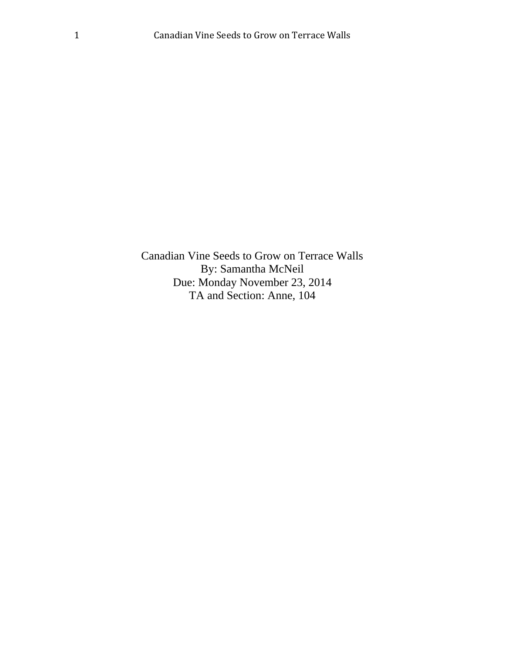Canadian Vine Seeds to Grow on Terrace Walls By: Samantha McNeil Due: Monday November 23, 2014 TA and Section: Anne, 104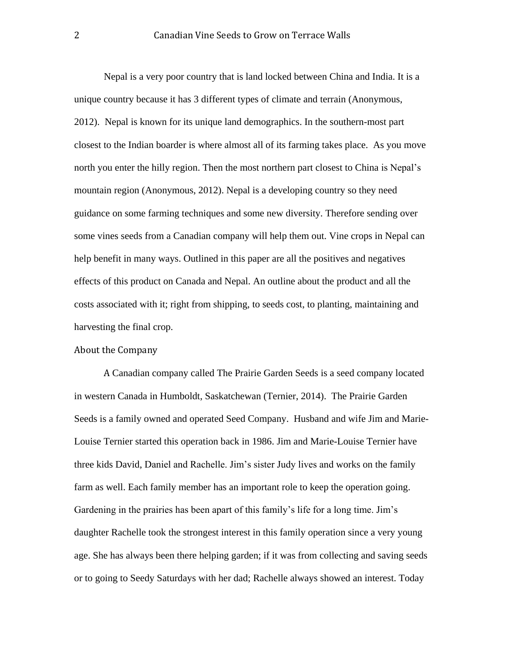Nepal is a very poor country that is land locked between China and India. It is a unique country because it has 3 different types of climate and terrain (Anonymous, 2012). Nepal is known for its unique land demographics. In the southern-most part closest to the Indian boarder is where almost all of its farming takes place. As you move north you enter the hilly region. Then the most northern part closest to China is Nepal's mountain region (Anonymous, 2012). Nepal is a developing country so they need guidance on some farming techniques and some new diversity. Therefore sending over some vines seeds from a Canadian company will help them out. Vine crops in Nepal can help benefit in many ways. Outlined in this paper are all the positives and negatives effects of this product on Canada and Nepal. An outline about the product and all the costs associated with it; right from shipping, to seeds cost, to planting, maintaining and harvesting the final crop.

#### About the Company

A Canadian company called The Prairie Garden Seeds is a seed company located in western Canada in Humboldt, Saskatchewan (Ternier, 2014). The Prairie Garden Seeds is a family owned and operated Seed Company. Husband and wife Jim and Marie-Louise Ternier started this operation back in 1986. Jim and Marie-Louise Ternier have three kids David, Daniel and Rachelle. Jim's sister Judy lives and works on the family farm as well. Each family member has an important role to keep the operation going. Gardening in the prairies has been apart of this family's life for a long time. Jim's daughter Rachelle took the strongest interest in this family operation since a very young age. She has always been there helping garden; if it was from collecting and saving seeds or to going to Seedy Saturdays with her dad; Rachelle always showed an interest. Today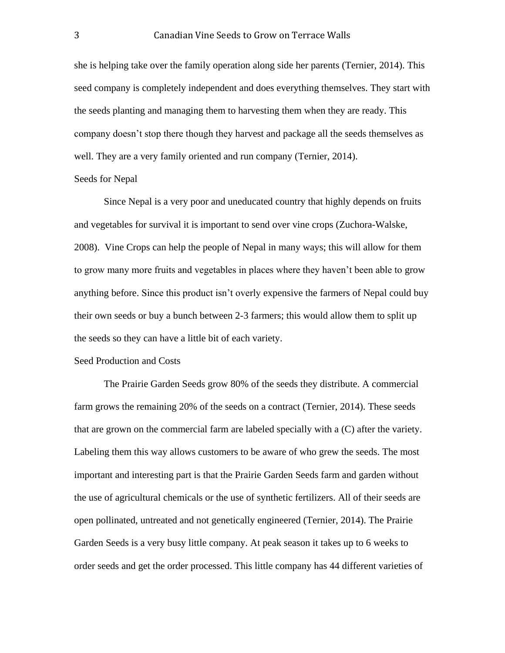she is helping take over the family operation along side her parents (Ternier, 2014). This seed company is completely independent and does everything themselves. They start with the seeds planting and managing them to harvesting them when they are ready. This company doesn't stop there though they harvest and package all the seeds themselves as well. They are a very family oriented and run company (Ternier, 2014). Seeds for Nepal

Since Nepal is a very poor and uneducated country that highly depends on fruits and vegetables for survival it is important to send over vine crops (Zuchora-Walske, 2008). Vine Crops can help the people of Nepal in many ways; this will allow for them to grow many more fruits and vegetables in places where they haven't been able to grow anything before. Since this product isn't overly expensive the farmers of Nepal could buy their own seeds or buy a bunch between 2-3 farmers; this would allow them to split up the seeds so they can have a little bit of each variety.

#### Seed Production and Costs

The Prairie Garden Seeds grow 80% of the seeds they distribute. A commercial farm grows the remaining 20% of the seeds on a contract (Ternier, 2014). These seeds that are grown on the commercial farm are labeled specially with a (C) after the variety. Labeling them this way allows customers to be aware of who grew the seeds. The most important and interesting part is that the Prairie Garden Seeds farm and garden without the use of agricultural chemicals or the use of synthetic fertilizers. All of their seeds are open pollinated, untreated and not genetically engineered (Ternier, 2014). The Prairie Garden Seeds is a very busy little company. At peak season it takes up to 6 weeks to order seeds and get the order processed. This little company has 44 different varieties of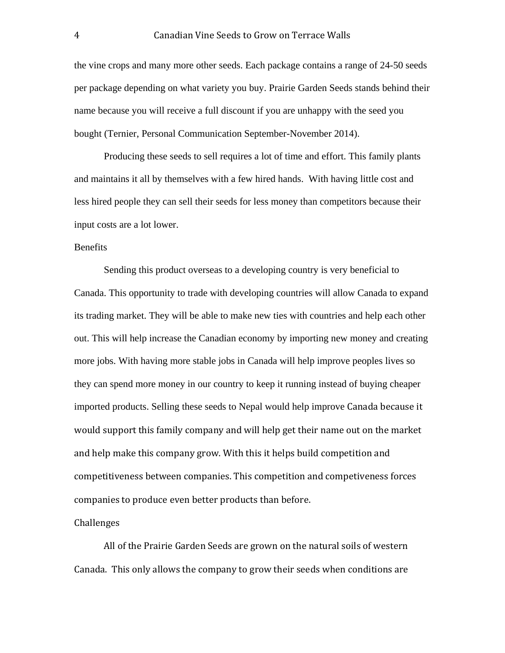the vine crops and many more other seeds. Each package contains a range of 24-50 seeds per package depending on what variety you buy. Prairie Garden Seeds stands behind their name because you will receive a full discount if you are unhappy with the seed you bought (Ternier, Personal Communication September-November 2014).

Producing these seeds to sell requires a lot of time and effort. This family plants and maintains it all by themselves with a few hired hands. With having little cost and less hired people they can sell their seeds for less money than competitors because their input costs are a lot lower.

### Benefits

Sending this product overseas to a developing country is very beneficial to Canada. This opportunity to trade with developing countries will allow Canada to expand its trading market. They will be able to make new ties with countries and help each other out. This will help increase the Canadian economy by importing new money and creating more jobs. With having more stable jobs in Canada will help improve peoples lives so they can spend more money in our country to keep it running instead of buying cheaper imported products. Selling these seeds to Nepal would help improve Canada because it would support this family company and will help get their name out on the market and help make this company grow. With this it helps build competition and competitiveness between companies. This competition and competiveness forces companies to produce even better products than before.

# Challenges

All of the Prairie Garden Seeds are grown on the natural soils of western Canada. This only allows the company to grow their seeds when conditions are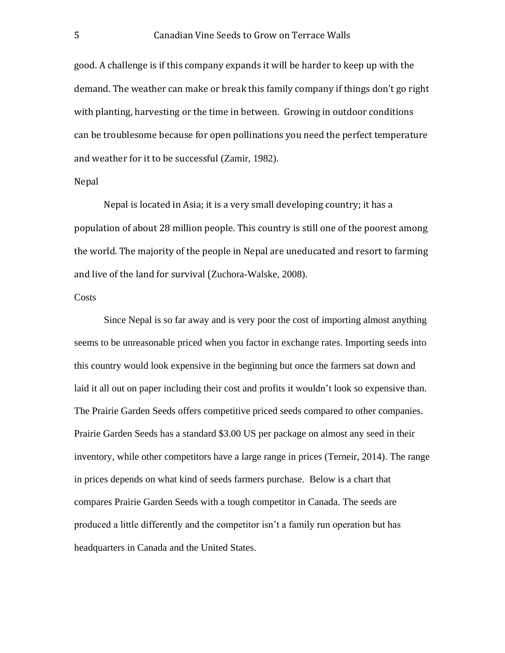good. A challenge is if this company expands it will be harder to keep up with the demand. The weather can make or break this family company if things don't go right with planting, harvesting or the time in between. Growing in outdoor conditions can be troublesome because for open pollinations you need the perfect temperature and weather for it to be successful (Zamir, 1982).

## Nepal

Nepal is located in Asia; it is a very small developing country; it has a population of about 28 million people. This country is still one of the poorest among the world. The majority of the people in Nepal are uneducated and resort to farming and live of the land for survival (Zuchora-Walske, 2008).

## **Costs**

Since Nepal is so far away and is very poor the cost of importing almost anything seems to be unreasonable priced when you factor in exchange rates. Importing seeds into this country would look expensive in the beginning but once the farmers sat down and laid it all out on paper including their cost and profits it wouldn't look so expensive than. The Prairie Garden Seeds offers competitive priced seeds compared to other companies. Prairie Garden Seeds has a standard \$3.00 US per package on almost any seed in their inventory, while other competitors have a large range in prices (Terneir, 2014). The range in prices depends on what kind of seeds farmers purchase. Below is a chart that compares Prairie Garden Seeds with a tough competitor in Canada. The seeds are produced a little differently and the competitor isn't a family run operation but has headquarters in Canada and the United States.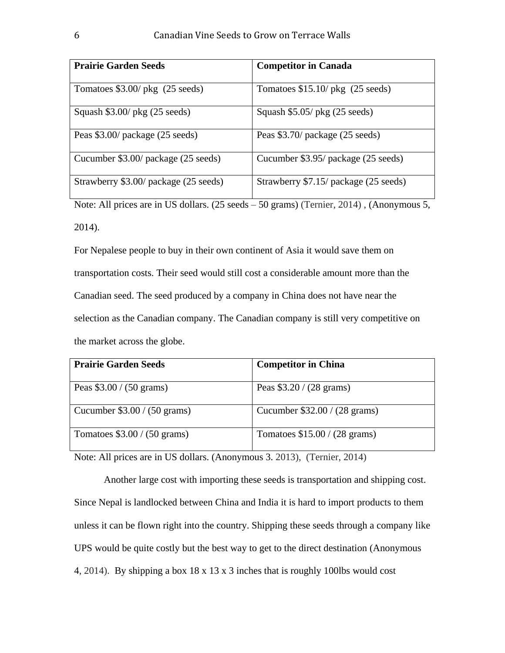| <b>Prairie Garden Seeds</b>           | <b>Competitor in Canada</b>           |  |
|---------------------------------------|---------------------------------------|--|
| Tomatoes $$3.00/$ pkg (25 seeds)      | Tomatoes $$15.10/$ pkg (25 seeds)     |  |
| Squash $$3.00/$ pkg (25 seeds)        | Squash $$5.05/$ pkg (25 seeds)        |  |
| Peas \$3.00/ package (25 seeds)       | Peas \$3.70/ package (25 seeds)       |  |
| Cucumber \$3.00/ package (25 seeds)   | Cucumber \$3.95/ package (25 seeds)   |  |
| Strawberry \$3.00/ package (25 seeds) | Strawberry \$7.15/ package (25 seeds) |  |

Note: All prices are in US dollars. (25 seeds – 50 grams) (Ternier, 2014) , (Anonymous 5, 2014).

For Nepalese people to buy in their own continent of Asia it would save them on transportation costs. Their seed would still cost a considerable amount more than the Canadian seed. The seed produced by a company in China does not have near the selection as the Canadian company. The Canadian company is still very competitive on the market across the globe.

| <b>Prairie Garden Seeds</b>           | <b>Competitor in China</b>             |
|---------------------------------------|----------------------------------------|
| Peas $$3.00 / (50 \text{ grams})$     | Peas $$3.20 / (28 \text{ grams})$      |
|                                       |                                        |
| Cucumber $$3.00 / (50 \text{ grams})$ | Cucumber \$32.00 / (28 grams)          |
| Tomatoes $$3.00 / (50 \text{ grams})$ | Tomatoes $$15.00 / (28 \text{ grams})$ |

Note: All prices are in US dollars. (Anonymous 3. 2013), (Ternier, 2014)

Another large cost with importing these seeds is transportation and shipping cost. Since Nepal is landlocked between China and India it is hard to import products to them unless it can be flown right into the country. Shipping these seeds through a company like UPS would be quite costly but the best way to get to the direct destination (Anonymous 4, 2014). By shipping a box 18 x 13 x 3 inches that is roughly 100lbs would cost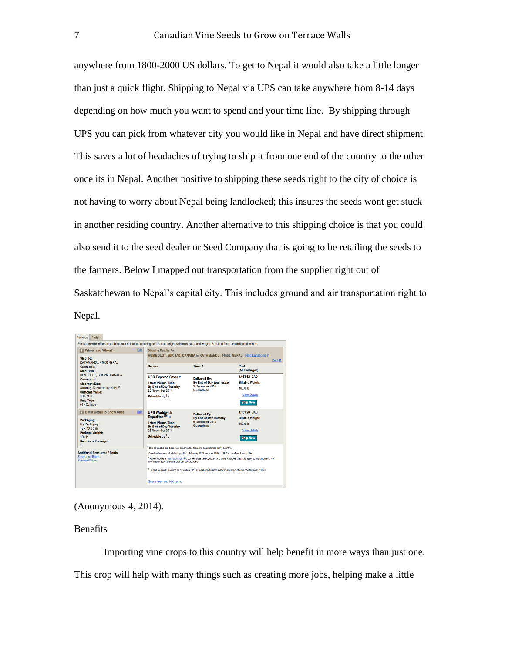anywhere from 1800-2000 US dollars. To get to Nepal it would also take a little longer than just a quick flight. Shipping to Nepal via UPS can take anywhere from 8-14 days depending on how much you want to spend and your time line. By shipping through UPS you can pick from whatever city you would like in Nepal and have direct shipment. This saves a lot of headaches of trying to ship it from one end of the country to the other once its in Nepal. Another positive to shipping these seeds right to the city of choice is not having to worry about Nepal being landlocked; this insures the seeds wont get stuck in another residing country. Another alternative to this shipping choice is that you could also send it to the seed dealer or Seed Company that is going to be retailing the seeds to the farmers. Below I mapped out transportation from the supplier right out of Saskatchewan to Nepal's capital city. This includes ground and air transportation right to Nepal.

| Freight<br>Package                                                                                                                                                                                                                                                                                    |                                                                                                                                                                              |                                                                                       |                                         |  |  |
|-------------------------------------------------------------------------------------------------------------------------------------------------------------------------------------------------------------------------------------------------------------------------------------------------------|------------------------------------------------------------------------------------------------------------------------------------------------------------------------------|---------------------------------------------------------------------------------------|-----------------------------------------|--|--|
| Please provide information about vour shipment including destination, origin, shipment date, and weight. Required fields are indicated with $\ast$ .                                                                                                                                                  |                                                                                                                                                                              |                                                                                       |                                         |  |  |
| Edit<br><b>MIL Where and When?</b><br><b>Ship To:</b><br>KATHMANDU, 44600 NEPAL<br>Commercial<br><b>Ship From:</b><br>HUMBOLDT, S0K 2A0 CANADA<br>Commercial<br><b>Shipment Date:</b><br>Saturday 22 November 2014 2<br><b>Customs Value:</b><br><b>100 CAD</b><br><b>Duty Type:</b><br>01 - Dutiable | Showing Results For:<br>HUMBOLDT, S0K 2A0, CANADA to KATHMANDU, 44600, NEPAL Find Locations<br>Print $\mathbf{\underline{n}}$                                                |                                                                                       |                                         |  |  |
|                                                                                                                                                                                                                                                                                                       | <b>Service</b>                                                                                                                                                               | Time <b>v</b>                                                                         | Cost<br>(All Packages)                  |  |  |
|                                                                                                                                                                                                                                                                                                       | <b>UPS Express Saver J</b>                                                                                                                                                   | <b>Delivered By:</b><br>By End of Day Wednesday<br>3 December 2014<br>Guaranteed      | 1.983.62 CAD                            |  |  |
|                                                                                                                                                                                                                                                                                                       | <b>Latest Pickup Time:</b>                                                                                                                                                   |                                                                                       | <b>Billable Weight:</b>                 |  |  |
|                                                                                                                                                                                                                                                                                                       | By End of Day Tuesday<br>25 November 2014                                                                                                                                    |                                                                                       | 100.0 lb                                |  |  |
|                                                                                                                                                                                                                                                                                                       | Schedule by 1:                                                                                                                                                               |                                                                                       | <b>View Details</b>                     |  |  |
|                                                                                                                                                                                                                                                                                                       |                                                                                                                                                                              |                                                                                       | <b>Ship Now</b>                         |  |  |
| Edit<br>2 Enter Detail to Show Cost                                                                                                                                                                                                                                                                   | <b>UPS Worldwide</b><br>Expedited <sup>SM</sup>                                                                                                                              | <b>Delivered By:</b><br>By End of Day Tuesday<br>9 December 2014<br><b>Guaranteed</b> | 1.731.28 CAD<br><b>Billable Weight:</b> |  |  |
| Packaging:<br>My Packaging<br>$18 \times 13 \times 3$ in<br>Package Weight:<br>100 <sub>h</sub><br><b>Number of Packages:</b><br>1                                                                                                                                                                    | <b>Latest Pickup Time:</b><br>By End of Day Tuesday<br>25 November 2014                                                                                                      |                                                                                       | $100.0$ lb                              |  |  |
|                                                                                                                                                                                                                                                                                                       |                                                                                                                                                                              |                                                                                       | <b>View Details</b>                     |  |  |
|                                                                                                                                                                                                                                                                                                       | Schedule by 1:                                                                                                                                                               |                                                                                       | <b>Ship Now</b>                         |  |  |
|                                                                                                                                                                                                                                                                                                       |                                                                                                                                                                              |                                                                                       |                                         |  |  |
| <b>Additional Resources / Tools</b><br><b>Zones and Rates</b><br><b>Service Guides</b>                                                                                                                                                                                                                | Rate estimates are based on export rates from the origin (Ship From) country.<br>Result estimates calculated by UPS: Saturday 22 November 2014 3:38 P.M. Eastern Time (USA)  |                                                                                       |                                         |  |  |
|                                                                                                                                                                                                                                                                                                       | Rate includes a fuel surcharge $\Box$ , but excludes taxes, duties and other charges that may apply to the shipment. For<br>information about the final charge, contact UPS. |                                                                                       |                                         |  |  |
|                                                                                                                                                                                                                                                                                                       | <sup>1</sup> Schedule a pickup online or by calling UPS at least one business day in advance of your needed pickup date.                                                     |                                                                                       |                                         |  |  |
|                                                                                                                                                                                                                                                                                                       | Guarantees and Notices m                                                                                                                                                     |                                                                                       |                                         |  |  |

### Benefits

Importing vine crops to this country will help benefit in more ways than just one. This crop will help with many things such as creating more jobs, helping make a little

<sup>(</sup>Anonymous 4, 2014).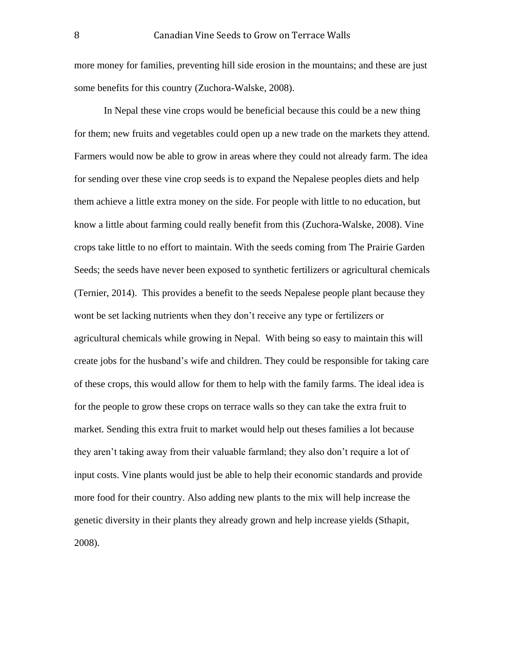more money for families, preventing hill side erosion in the mountains; and these are just some benefits for this country (Zuchora-Walske, 2008).

In Nepal these vine crops would be beneficial because this could be a new thing for them; new fruits and vegetables could open up a new trade on the markets they attend. Farmers would now be able to grow in areas where they could not already farm. The idea for sending over these vine crop seeds is to expand the Nepalese peoples diets and help them achieve a little extra money on the side. For people with little to no education, but know a little about farming could really benefit from this (Zuchora-Walske, 2008). Vine crops take little to no effort to maintain. With the seeds coming from The Prairie Garden Seeds; the seeds have never been exposed to synthetic fertilizers or agricultural chemicals (Ternier, 2014). This provides a benefit to the seeds Nepalese people plant because they wont be set lacking nutrients when they don't receive any type or fertilizers or agricultural chemicals while growing in Nepal. With being so easy to maintain this will create jobs for the husband's wife and children. They could be responsible for taking care of these crops, this would allow for them to help with the family farms. The ideal idea is for the people to grow these crops on terrace walls so they can take the extra fruit to market. Sending this extra fruit to market would help out theses families a lot because they aren't taking away from their valuable farmland; they also don't require a lot of input costs. Vine plants would just be able to help their economic standards and provide more food for their country. Also adding new plants to the mix will help increase the genetic diversity in their plants they already grown and help increase yields (Sthapit, 2008).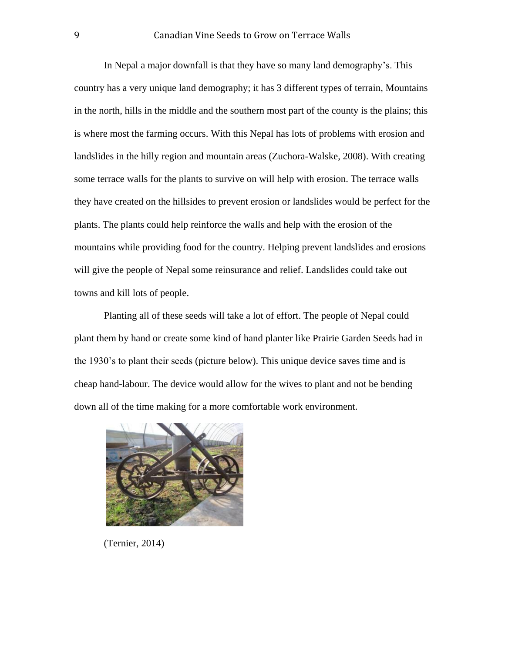In Nepal a major downfall is that they have so many land demography's. This country has a very unique land demography; it has 3 different types of terrain, Mountains in the north, hills in the middle and the southern most part of the county is the plains; this is where most the farming occurs. With this Nepal has lots of problems with erosion and landslides in the hilly region and mountain areas (Zuchora-Walske, 2008). With creating some terrace walls for the plants to survive on will help with erosion. The terrace walls they have created on the hillsides to prevent erosion or landslides would be perfect for the plants. The plants could help reinforce the walls and help with the erosion of the mountains while providing food for the country. Helping prevent landslides and erosions will give the people of Nepal some reinsurance and relief. Landslides could take out towns and kill lots of people.

Planting all of these seeds will take a lot of effort. The people of Nepal could plant them by hand or create some kind of hand planter like Prairie Garden Seeds had in the 1930's to plant their seeds (picture below). This unique device saves time and is cheap hand-labour. The device would allow for the wives to plant and not be bending down all of the time making for a more comfortable work environment.



(Ternier, 2014)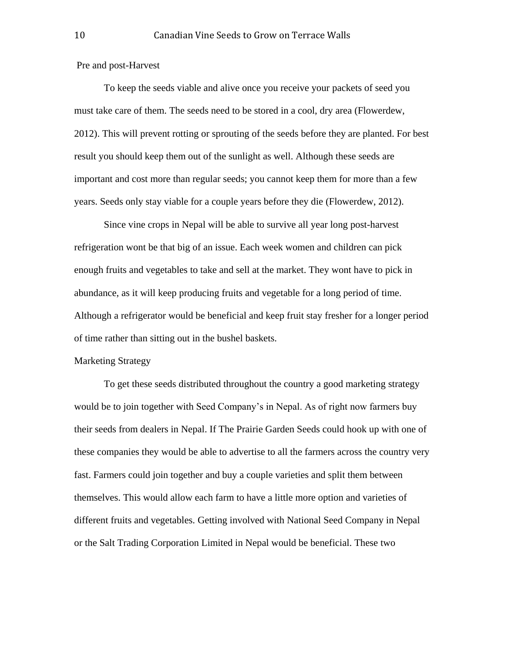Pre and post-Harvest

To keep the seeds viable and alive once you receive your packets of seed you must take care of them. The seeds need to be stored in a cool, dry area (Flowerdew, 2012). This will prevent rotting or sprouting of the seeds before they are planted. For best result you should keep them out of the sunlight as well. Although these seeds are important and cost more than regular seeds; you cannot keep them for more than a few years. Seeds only stay viable for a couple years before they die (Flowerdew, 2012).

Since vine crops in Nepal will be able to survive all year long post-harvest refrigeration wont be that big of an issue. Each week women and children can pick enough fruits and vegetables to take and sell at the market. They wont have to pick in abundance, as it will keep producing fruits and vegetable for a long period of time. Although a refrigerator would be beneficial and keep fruit stay fresher for a longer period of time rather than sitting out in the bushel baskets.

#### Marketing Strategy

To get these seeds distributed throughout the country a good marketing strategy would be to join together with Seed Company's in Nepal. As of right now farmers buy their seeds from dealers in Nepal. If The Prairie Garden Seeds could hook up with one of these companies they would be able to advertise to all the farmers across the country very fast. Farmers could join together and buy a couple varieties and split them between themselves. This would allow each farm to have a little more option and varieties of different fruits and vegetables. Getting involved with National Seed Company in Nepal or the Salt Trading Corporation Limited in Nepal would be beneficial. These two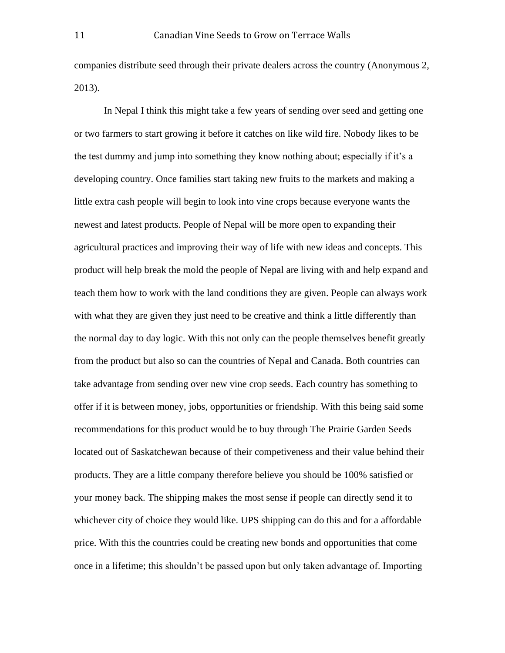companies distribute seed through their private dealers across the country (Anonymous 2, 2013).

In Nepal I think this might take a few years of sending over seed and getting one or two farmers to start growing it before it catches on like wild fire. Nobody likes to be the test dummy and jump into something they know nothing about; especially if it's a developing country. Once families start taking new fruits to the markets and making a little extra cash people will begin to look into vine crops because everyone wants the newest and latest products. People of Nepal will be more open to expanding their agricultural practices and improving their way of life with new ideas and concepts. This product will help break the mold the people of Nepal are living with and help expand and teach them how to work with the land conditions they are given. People can always work with what they are given they just need to be creative and think a little differently than the normal day to day logic. With this not only can the people themselves benefit greatly from the product but also so can the countries of Nepal and Canada. Both countries can take advantage from sending over new vine crop seeds. Each country has something to offer if it is between money, jobs, opportunities or friendship. With this being said some recommendations for this product would be to buy through The Prairie Garden Seeds located out of Saskatchewan because of their competiveness and their value behind their products. They are a little company therefore believe you should be 100% satisfied or your money back. The shipping makes the most sense if people can directly send it to whichever city of choice they would like. UPS shipping can do this and for a affordable price. With this the countries could be creating new bonds and opportunities that come once in a lifetime; this shouldn't be passed upon but only taken advantage of. Importing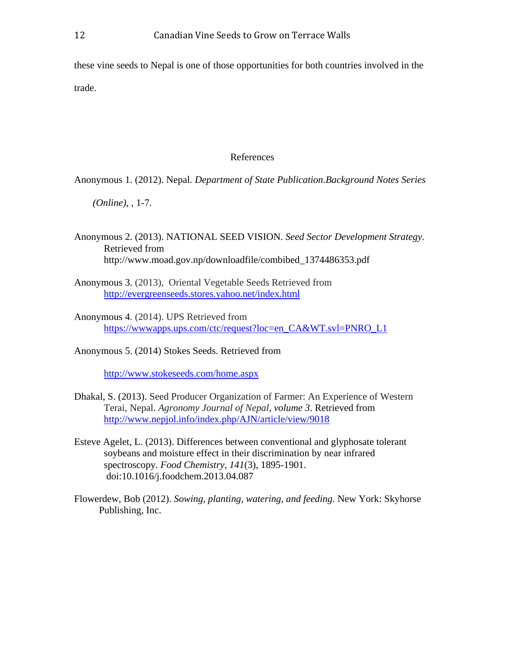these vine seeds to Nepal is one of those opportunities for both countries involved in the trade.

#### References

Anonymous 1. (2012). Nepal. *Department of State Publication.Background Notes Series* 

*(Online),* , 1-7.

- Anonymous 2. (2013). NATIONAL SEED VISION. *Seed Sector Development Strategy.* Retrieved from http://www.moad.gov.np/downloadfile/combibed\_1374486353.pdf
- Anonymous 3. (2013), Oriental Vegetable Seeds Retrieved from <http://evergreenseeds.stores.yahoo.net/index.html>
- Anonymous 4. (2014). UPS Retrieved from [https://wwwapps.ups.com/ctc/request?loc=en\\_CA&WT.svl=PNRO\\_L1](https://wwwapps.ups.com/ctc/request?loc=en_CA&WT.svl=PNRO_L1)
- Anonymous 5. (2014) Stokes Seeds. Retrieved from

<http://www.stokeseeds.com/home.aspx>

- Dhakal, S. (2013). Seed Producer Organization of Farmer: An Experience of Western Terai, Nepal. *Agronomy Journal of Nepal, volume 3*. Retrieved from <http://www.nepjol.info/index.php/AJN/article/view/9018>
- Esteve Agelet, L. (2013). Differences between conventional and glyphosate tolerant soybeans and moisture effect in their discrimination by near infrared spectroscopy. *Food Chemistry, 141*(3), 1895-1901. doi:10.1016/j.foodchem.2013.04.087
- Flowerdew, Bob (2012). *Sowing, planting, watering, and feeding*. New York: Skyhorse Publishing, Inc.